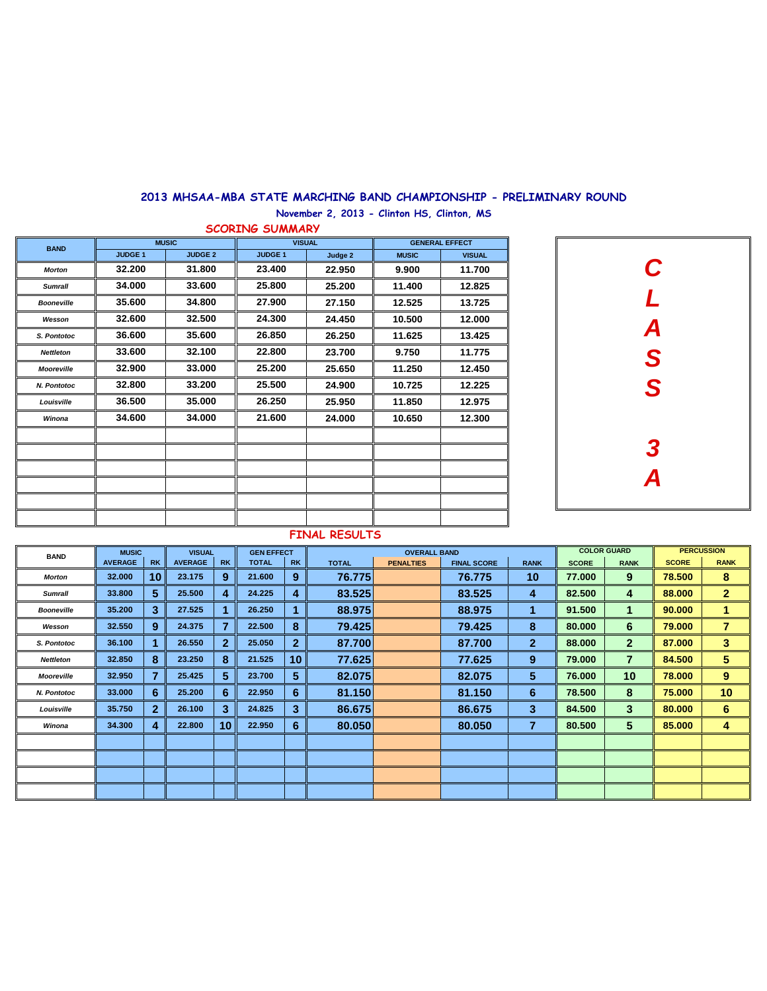## **2013 MHSAA-MBA STATE MARCHING BAND CHAMPIONSHIP - PRELIMINARY ROUND**

**November 2, 2013 - Clinton HS, Clinton, MS**

|                                                                                                                                                                              | <b>SCORING SUMMARY</b> |                |                |               |                       |               |  |  |  |  |  |  |  |  |  |
|------------------------------------------------------------------------------------------------------------------------------------------------------------------------------|------------------------|----------------|----------------|---------------|-----------------------|---------------|--|--|--|--|--|--|--|--|--|
| <b>BAND</b><br><b>Morton</b><br><b>Sumrall</b><br><b>Booneville</b><br>Wesson<br>S. Pontotoc<br><b>Nettleton</b><br><b>Mooreville</b><br>N. Pontotoc<br>Louisville<br>Winona |                        | <b>MUSIC</b>   |                | <b>VISUAL</b> | <b>GENERAL EFFECT</b> |               |  |  |  |  |  |  |  |  |  |
|                                                                                                                                                                              | <b>JUDGE 1</b>         | <b>JUDGE 2</b> | <b>JUDGE 1</b> | Judge 2       | <b>MUSIC</b>          | <b>VISUAL</b> |  |  |  |  |  |  |  |  |  |
|                                                                                                                                                                              | 32.200                 | 31.800         | 23.400         | 22.950        | 9.900                 | 11.700        |  |  |  |  |  |  |  |  |  |
|                                                                                                                                                                              | 34.000                 | 33.600         | 25.800         | 25.200        | 11.400                | 12.825        |  |  |  |  |  |  |  |  |  |
|                                                                                                                                                                              | 35.600                 | 34.800         | 27.900         | 27.150        | 12.525                | 13.725        |  |  |  |  |  |  |  |  |  |
|                                                                                                                                                                              | 32.600                 | 32.500         | 24.300         | 24.450        | 10.500                | 12.000        |  |  |  |  |  |  |  |  |  |
|                                                                                                                                                                              | 36.600                 | 35.600         | 26.850         | 26.250        | 11.625                | 13.425        |  |  |  |  |  |  |  |  |  |
|                                                                                                                                                                              | 33.600                 | 32.100         | 22.800         | 23.700        | 9.750                 | 11.775        |  |  |  |  |  |  |  |  |  |
|                                                                                                                                                                              | 32.900                 | 33.000         | 25.200         | 25.650        | 11.250                | 12.450        |  |  |  |  |  |  |  |  |  |
|                                                                                                                                                                              | 32.800                 | 33.200         | 25.500         | 24.900        | 10.725                | 12.225        |  |  |  |  |  |  |  |  |  |
|                                                                                                                                                                              | 36.500                 | 35.000         | 26.250         | 25.950        | 11.850                | 12.975        |  |  |  |  |  |  |  |  |  |
|                                                                                                                                                                              | 34.600                 | 34.000         | 21.600         | 24.000        | 10.650                | 12.300        |  |  |  |  |  |  |  |  |  |
|                                                                                                                                                                              |                        |                |                |               |                       |               |  |  |  |  |  |  |  |  |  |
|                                                                                                                                                                              |                        |                |                |               |                       |               |  |  |  |  |  |  |  |  |  |
|                                                                                                                                                                              |                        |                |                |               |                       |               |  |  |  |  |  |  |  |  |  |
|                                                                                                                                                                              |                        |                |                |               |                       |               |  |  |  |  |  |  |  |  |  |
|                                                                                                                                                                              |                        |                |                |               |                       |               |  |  |  |  |  |  |  |  |  |
|                                                                                                                                                                              |                        |                |                |               |                       |               |  |  |  |  |  |  |  |  |  |



## **FINAL RESULTS**

| <b>BAND</b>       | <b>MUSIC</b>   |              | <b>VISUAL</b>  |                 | <b>GEN EFFECT</b> |                |              | <b>OVERALL BAND</b> |                    |                | <b>COLOR GUARD</b> |                 |              | <b>PERCUSSION</b> |
|-------------------|----------------|--------------|----------------|-----------------|-------------------|----------------|--------------|---------------------|--------------------|----------------|--------------------|-----------------|--------------|-------------------|
|                   | <b>AVERAGE</b> | <b>RK</b>    | <b>AVERAGE</b> | <b>RK</b>       | <b>TOTAL</b>      | <b>RK</b>      | <b>TOTAL</b> | <b>PENALTIES</b>    | <b>FINAL SCORE</b> | <b>RANK</b>    | <b>SCORE</b>       | <b>RANK</b>     | <b>SCORE</b> | <b>RANK</b>       |
| <b>Morton</b>     | 32.000         | 10           | 23.175         | 9               | 21.600            | 9              | 76.775       |                     | 76.775             | 10             | 77.000             | 9               | 78.500       | 8                 |
| <b>Sumrall</b>    | 33.800         | 5            | 25.500         | 4               | 24.225            | 4              | 83.525       |                     | 83.525             | 4              | 82.500             | 4               | 88.000       | $\mathbf{2}$      |
| <b>Booneville</b> | 35.200         | 3            | 27.525         |                 | 26.250            |                | 88.975       |                     | 88.975             |                | 91.500             |                 | 90.000       |                   |
| Wesson            | 32.550         | 9            | 24.375         |                 | 22.500            | 8              | 79.425       |                     | 79.425             | 8              | 80.000             | 6               | 79.000       | $\overline{7}$    |
| S. Pontotoc       | 36.100         | 1            | 26.550         | $\mathbf{2}$    | 25.050            | $\overline{2}$ | 87.700       |                     | 87.700             | $\overline{2}$ | 88.000             | $\overline{2}$  | 87.000       | 3                 |
| <b>Nettleton</b>  | 32.850         | 8            | 23.250         | 8               | 21.525            | 10 I           | 77.625       |                     | 77.625             | 9              | 79.000             | 7               | 84.500       | $5\phantom{.0}$   |
| <b>Mooreville</b> | 32.950         | 7            | 25.425         | 5               | 23.700            | 5.             | 82.075       |                     | 82,075             | 5.             | 76.000             | 10 <sup>°</sup> | 78.000       | 9                 |
| N. Pontotoc       | 33.000         | 6            | 25.200         | 6               | 22.950            | 6              | 81.150       |                     | 81.150             | 6              | 78.500             | 8               | 75.000       | 10                |
| Louisville        | 35.750         | $\mathbf{2}$ | 26.100         | 3               | 24.825            | 3              | 86.675       |                     | 86.675             | 3              | 84.500             | 3               | 80.000       | 6                 |
| Winona            | 34.300         | 4            | 22.800         | 10 <sup>1</sup> | 22.950            | 6              | 80.050       |                     | 80.050             | 7              | 80.500             | 5               | 85.000       | 4                 |
|                   |                |              |                |                 |                   |                |              |                     |                    |                |                    |                 |              |                   |
|                   |                |              |                |                 |                   |                |              |                     |                    |                |                    |                 |              |                   |
|                   |                |              |                |                 |                   |                |              |                     |                    |                |                    |                 |              |                   |
|                   |                |              |                |                 |                   |                |              |                     |                    |                |                    |                 |              |                   |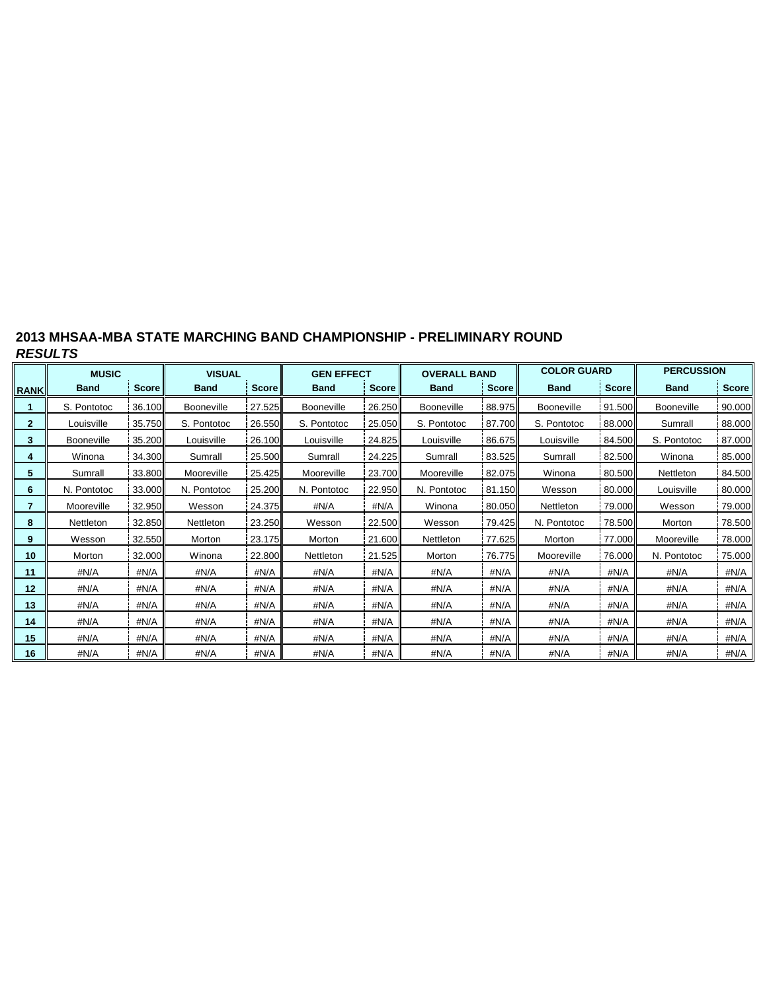| 2013 MHSAA-MBA STATE MARCHING BAND CHAMPIONSHIP - PRELIMINARY ROUND |  |
|---------------------------------------------------------------------|--|
| <b>RESULTS</b>                                                      |  |

|                 | <b>MUSIC</b> |              | <b>VISUAL</b>     |              | <b>GEN EFFECT</b> |              | <b>OVERALL BAND</b> |              | <b>COLOR GUARD</b>   |              | <b>PERCUSSION</b> |              |  |
|-----------------|--------------|--------------|-------------------|--------------|-------------------|--------------|---------------------|--------------|----------------------|--------------|-------------------|--------------|--|
| <b>RANK</b>     | <b>Band</b>  | <b>Score</b> | <b>Band</b>       | <b>Score</b> | <b>Band</b>       | <b>Score</b> | <b>Band</b>         | <b>Score</b> | <b>Band</b>          | <b>Score</b> | <b>Band</b>       | <b>Score</b> |  |
|                 | S. Pontotoc  | 36.100       | <b>Booneville</b> | 27.525       | <b>Booneville</b> | 26.250       | Booneville          | 88.975       | <b>Booneville</b>    | 91.500       | <b>Booneville</b> | 90.000       |  |
| 2               | Louisville   | 35.750       | S. Pontotoc       | 26.550       | S. Pontotoc       | 25.050       | S. Pontotoc         | 87.700       | S. Pontotoc          | 88.000       | Sumrall           | 88.000       |  |
| 3               | Booneville   | 35.200       | Louisville        | 26.100       | Louisville        | 24.825       | Louisville          | 86.675       | 84.500<br>Louisville |              | S. Pontotoc       | 87.000       |  |
| 4               | Winona       | 34.300       | Sumrall           | 25.500       | Sumrall           | 24.225       | Sumrall             | 83.525       | Sumrall              | 82.500       | Winona            | 85.000       |  |
| 5               | Sumrall      | 33.800       | Mooreville        | 25.425       | Mooreville        | 23.700       | Mooreville          | 82.075       | Winona               | 80.500       | Nettleton         | 84.500       |  |
| 6               | N. Pontotoc  | 33.000       | N. Pontotoc       | 25.200       | N. Pontotoc       | 22.950       | N. Pontotoc         | 81.150       | Wesson               | 80.000       | Louisville        | 80.000       |  |
| 7               | Mooreville   | 32.950       | Wesson            | 24.375       | #N/A              | #N/A         | Winona              | 80.050       | Nettleton            | 79.000       | Wesson            | 79.000       |  |
| 8               | Nettleton    | 32.850       | Nettleton         | 23.250       | Wesson            | 22.500       | Wesson              | 79.425       | N. Pontotoc          | 78.500       | Morton            | 78.500       |  |
| 9               | Wesson       | 32.550       | Morton            | 23.175       | Morton            | 21.600       | Nettleton           | 77.625       | Morton<br>77.000     |              | Mooreville        | 78.000       |  |
| 10              | Morton       | 32.000       | Winona            | 22.800       | Nettleton         | 21.525       | Morton              | 76.775       | Mooreville           | 76.000       | N. Pontotoc       | 75.000       |  |
| 11              | #N/A         | #N/A         | #N/A              | #N/A         | #N/A              | #N/A         | #N/A                | #N/A         | #N/A                 | #N/A         | #N/A              | #N/A         |  |
| 12 <sub>2</sub> | #N/A         | #N/A         | #N/A              | #N/A         | #N/A              | #N/A         | #N/A                | #N/A         | #N/A<br>#N/A         |              | #N/A              | #N/A         |  |
| 13              | #N/A         | #N/A         | #N/A              | #N/A         | #N/A              | #N/A         | #N/A                | #N/A         | #N/A<br>#N/A         |              | #N/A              | #N/A         |  |
| 14              | #N/A         | #N/A         | #N/A              | #N/A         | #N/A              | #N/A         | #N/A                | #N/A         | #N/A<br>#N/A         |              | #N/A              | #N/A         |  |
| 15              | #N/A         | #N/A         | #N/A              | #N/A         | #N/A              | #N/A         | #N/A                | #N/A         | #N/A<br>#N/A         |              | #N/A              | #N/A         |  |
| 16              | #N/A         | #N/A         | #N/A              | #N/A         | #N/A              | #N/A         | #N/A                | #N/A         | #N/A<br>#N/A         |              | #N/A              | #N/A         |  |